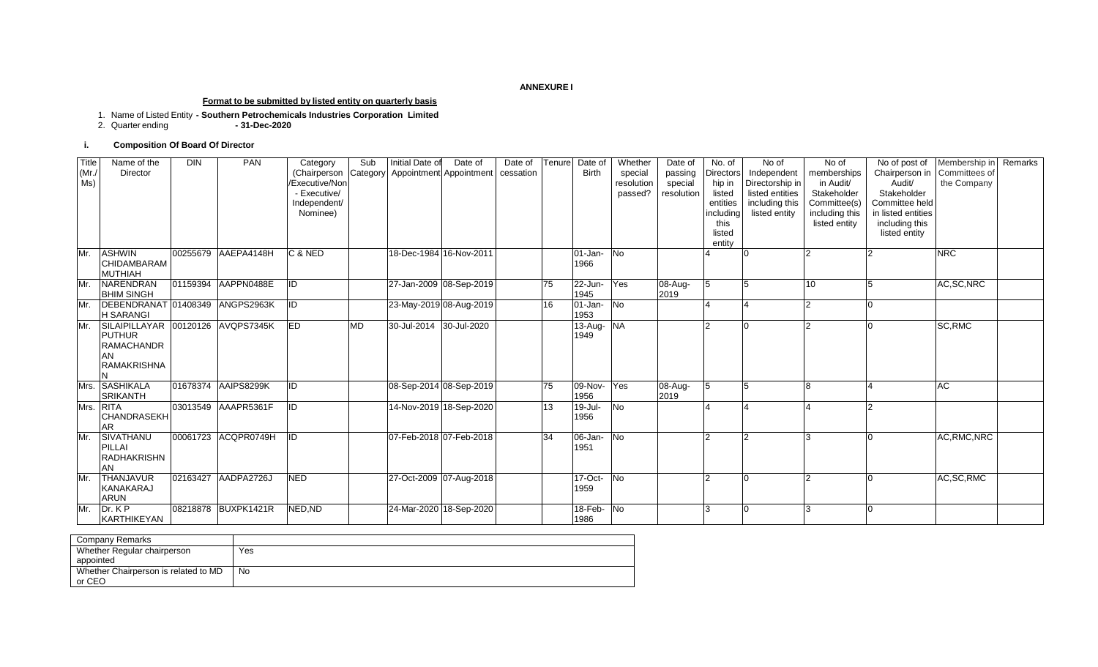#### **ANNEXURE I**

#### **Format to be submitted by listed entity on quarterly basis**

- 1. Name of Listed Entity **- Southern Petrochemicals Industries Corporation Limited**
- 2. Quarter ending **- 31-Dec-2020**

#### **i. Composition Of Board Of Director**

| Title<br>(Mr)<br>Ms) | Name of the<br>Director                                                         | <b>DIN</b> | <b>PAN</b>          | Category<br>(Chairperson<br>/Executive/Non<br>- Executive/<br>Independent/<br>Nominee) | Sub<br>Category | Initial Date of         | Date of<br>Appointment Appointment | Date of<br>cessation | Tenure          | Date of<br><b>Birth</b> | Whether<br>special<br>resolution<br>passed? | Date of<br>passing<br>special<br>resolution | No. of<br>Directors<br>hip in<br>listed<br>entities<br>including<br>this<br>listed<br>entity | No of<br>Independent<br>Directorship in<br>listed entities<br>including this<br>listed entity | No of<br>memberships<br>in Audit/<br>Stakeholder<br>Committee(s)<br>including this<br>listed entity | No of post of<br>Chairperson in<br>Audit/<br>Stakeholder<br>Committee held<br>in listed entities<br>including this<br>listed entity | Membership in Remarks<br>Committees of<br>the Company |  |
|----------------------|---------------------------------------------------------------------------------|------------|---------------------|----------------------------------------------------------------------------------------|-----------------|-------------------------|------------------------------------|----------------------|-----------------|-------------------------|---------------------------------------------|---------------------------------------------|----------------------------------------------------------------------------------------------|-----------------------------------------------------------------------------------------------|-----------------------------------------------------------------------------------------------------|-------------------------------------------------------------------------------------------------------------------------------------|-------------------------------------------------------|--|
| Mr.                  | <b>ASHWIN</b><br><b>CHIDAMBARAM</b><br><b>MUTHIAH</b>                           |            | 00255679 AAEPA4148H | C & NED                                                                                |                 | 18-Dec-1984 16-Nov-2011 |                                    |                      |                 | $01$ -Jan-<br>1966      | <b>No</b>                                   |                                             |                                                                                              |                                                                                               |                                                                                                     |                                                                                                                                     | <b>NRC</b>                                            |  |
| Mr.                  | NARENDRAN<br><b>BHIM SINGH</b>                                                  |            | 01159394 AAPPN0488E | ID                                                                                     |                 |                         | 27-Jan-2009 08-Sep-2019            |                      | 75              | 22-Jun-<br>1945         | Yes                                         | 08-Aug-<br>2019                             |                                                                                              | 5                                                                                             | 10                                                                                                  |                                                                                                                                     | AC, SC, NRC                                           |  |
| Mr.                  | DEBENDRANAT 01408349 ANGPS2963K<br><b>H SARANGI</b>                             |            |                     | ID                                                                                     |                 |                         | 23-May-2019 08-Aug-2019            |                      | 16              | $01$ -Jan-<br>1953      | <b>No</b>                                   |                                             |                                                                                              |                                                                                               |                                                                                                     |                                                                                                                                     |                                                       |  |
| Mr.                  | SILAIPILLAYAR<br><b>PUTHUR</b><br><b>RAMACHANDR</b><br>AN<br><b>RAMAKRISHNA</b> |            | 00120126 AVQPS7345K | <b>IED</b>                                                                             | <b>MD</b>       | 30-Jul-2014 30-Jul-2020 |                                    |                      |                 | 13-Aug-<br>1949         | <b>NA</b>                                   |                                             |                                                                                              |                                                                                               |                                                                                                     |                                                                                                                                     | SC, RMC                                               |  |
|                      | Mrs. SASHIKALA<br><b>SRIKANTH</b>                                               |            | 01678374 AAIPS8299K | ID                                                                                     |                 |                         | 08-Sep-2014 08-Sep-2019            |                      | 75              | 09-Nov-<br>1956         | Yes                                         | 08-Aug-<br>2019                             |                                                                                              |                                                                                               |                                                                                                     |                                                                                                                                     | AC <sup>.</sup>                                       |  |
|                      | Mrs. RITA<br>CHANDRASEKH<br><b>AR</b>                                           |            | 03013549 AAAPR5361F | ID                                                                                     |                 |                         | 14-Nov-2019 18-Sep-2020            |                      | $\overline{13}$ | $19 -$ Jul-<br>1956     | No                                          |                                             |                                                                                              |                                                                                               |                                                                                                     | $\Omega$                                                                                                                            |                                                       |  |
| Mr.                  | SIVATHANU<br><b>PILLAI</b><br><b>RADHAKRISHN</b><br><b>AN</b>                   |            | 00061723 ACQPR0749H | IID                                                                                    |                 | 07-Feb-2018 07-Feb-2018 |                                    |                      | 34              | 06-Jan-<br>1951         | <b>No</b>                                   |                                             |                                                                                              | $\sim$                                                                                        |                                                                                                     |                                                                                                                                     | AC, RMC, NRC                                          |  |
| Mr.                  | <b>THANJAVUR</b><br><b>KANAKARAJ</b><br><b>ARUN</b>                             |            | 02163427 AADPA2726J | <b>NED</b>                                                                             |                 |                         | 27-Oct-2009 07-Aug-2018            |                      |                 | $17$ -Oct-<br>1959      | <b>No</b>                                   |                                             |                                                                                              |                                                                                               |                                                                                                     |                                                                                                                                     | AC, SC, RMC                                           |  |
| Mr.                  | Dr. KP<br><b>KARTHIKEYAN</b>                                                    |            | 08218878 BUXPK1421R | NED, ND                                                                                |                 |                         | 24-Mar-2020 18-Sep-2020            |                      |                 | 18-Feb- No<br>1986      |                                             |                                             |                                                                                              | <sup>0</sup>                                                                                  |                                                                                                     | $\overline{0}$                                                                                                                      |                                                       |  |

| Company Remarks                      |     |
|--------------------------------------|-----|
| Whether Regular chairperson          | Yes |
| appointed                            |     |
| Whether Chairperson is related to MD | No  |
| or CEO                               |     |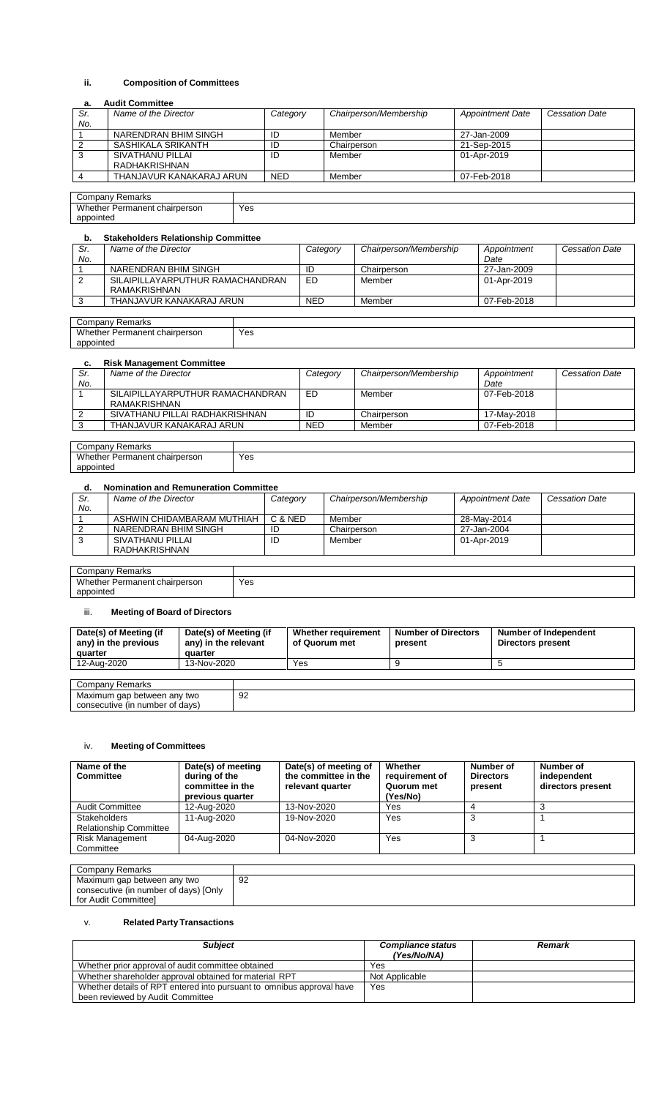## **ii. Composition of Committees**

#### **a. Audit Committee**

| Sr. | Name of the Director     | Category   | Chairperson/Membership | <b>Appointment Date</b> | <b>Cessation Date</b> |
|-----|--------------------------|------------|------------------------|-------------------------|-----------------------|
| No. |                          |            |                        |                         |                       |
|     | NARENDRAN BHIM SINGH     | ID         | Member                 | 27-Jan-2009             |                       |
|     | SASHIKALA SRIKANTH       | ID         | Chairperson            | 21-Sep-2015             |                       |
|     | SIVATHANU PILLAI         | ID         | Member                 | 01-Apr-2019             |                       |
|     | RADHAKRISHNAN            |            |                        |                         |                       |
|     | THANJAVUR KANAKARAJ ARUN | <b>NED</b> | Member                 | 07-Feb-2018             |                       |
|     |                          |            |                        |                         |                       |

Company Remarks Whether Permanent chairperson appointed

#### **b. Stakeholders Relationship Committee**

| . . | oluncholucio noiutiono lo commutec               |            |                        |             |                       |
|-----|--------------------------------------------------|------------|------------------------|-------------|-----------------------|
| Sr. | Name of the Director                             | Category   | Chairperson/Membership | Appointment | <b>Cessation Date</b> |
| No. |                                                  |            |                        | Date        |                       |
|     | NARENDRAN BHIM SINGH                             | ID         | Chairperson            | 27-Jan-2009 |                       |
| 2   | SILAIPILLAYARPUTHUR RAMACHANDRAN<br>RAMAKRISHNAN | ED.        | Member                 | 01-Apr-2019 |                       |
| ົ   | THANJAVUR KANAKARAJ ARUN                         | <b>NED</b> | Member                 | 07-Feb-2018 |                       |
|     |                                                  |            |                        |             |                       |

| Company Remarks               |     |
|-------------------------------|-----|
| Whether Permanent chairperson | Yes |
| appointed                     |     |

Yes

#### **c. Risk Management Committee**

| Sr. | Name of the Director             | Category   | Chairperson/Membership | Appointment | <b>Cessation Date</b> |
|-----|----------------------------------|------------|------------------------|-------------|-----------------------|
| No. |                                  |            |                        | Date        |                       |
|     | SILAIPILLAYARPUTHUR RAMACHANDRAN | ED         | Member                 | 07-Feb-2018 |                       |
|     | RAMAKRISHNAN                     |            |                        |             |                       |
|     | SIVATHANU PILLAI RADHAKRISHNAN   | ID         | Chairperson            | 17-Mav-2018 |                       |
|     | THANJAVUR KANAKARAJ ARUN         | <b>NED</b> | Member                 | 07-Feb-2018 |                       |

| $\mathsf{Companv}$<br>Remarks                           |             |
|---------------------------------------------------------|-------------|
| Wheth.<br>chairperson<br>Permanent<br>.her<br>. GL<br>. | Yes<br>$ -$ |
| appointed                                               |             |

#### **d. Nomination and Remuneration Committee**

| Sr. | Name of the Director       | Category | Chairperson/Membership | <b>Appointment Date</b> | <b>Cessation Date</b> |  |  |  |
|-----|----------------------------|----------|------------------------|-------------------------|-----------------------|--|--|--|
| No. |                            |          |                        |                         |                       |  |  |  |
|     | ASHWIN CHIDAMBARAM MUTHIAH | C & NED  | Member                 | 28-May-2014             |                       |  |  |  |
| 2   | NARENDRAN BHIM SINGH       | ID       | Chairperson            | 27-Jan-2004             |                       |  |  |  |
| 3   | SIVATHANU PILLAI           | ID       | Member                 | 01-Apr-2019             |                       |  |  |  |
|     | RADHAKRISHNAN              |          |                        |                         |                       |  |  |  |
|     |                            |          |                        |                         |                       |  |  |  |
|     | Company Domarica           |          |                        |                         |                       |  |  |  |

| $\mathsf{Companv}$<br>Remarks                           |             |
|---------------------------------------------------------|-------------|
| Wheth<br>chairperson<br>Permanent<br>her<br>انا<br>____ | Yes<br>$ -$ |
| appointed                                               |             |
|                                                         |             |

# iii. **Meeting of Board of Directors**

| Date(s) of Meeting (if<br>Date(s) of Meeting (if<br>any) in the relevant<br>any) in the previous<br>quarter<br>quarter |             | Whether requirement<br>of Quorum met | <b>Number of Directors</b><br>present | Number of Independent<br><b>Directors present</b> |  |
|------------------------------------------------------------------------------------------------------------------------|-------------|--------------------------------------|---------------------------------------|---------------------------------------------------|--|
| 12-Aug-2020                                                                                                            | 13-Nov-2020 |                                      | Yes                                   |                                                   |  |
|                                                                                                                        |             |                                      |                                       |                                                   |  |
| Company Remarks                                                                                                        |             |                                      |                                       |                                                   |  |
| Maximum gap between any two<br>consecutive (in number of days)                                                         |             | 92                                   |                                       |                                                   |  |

#### iv. **Meeting of Committees**

| during of the<br>committee in the<br>previous quarter | the committee in the<br>relevant quarter | Whether<br>requirement of<br>Quorum met<br>(Yes/No) | Number of<br><b>Directors</b><br>present | Number of<br>independent<br>directors present |
|-------------------------------------------------------|------------------------------------------|-----------------------------------------------------|------------------------------------------|-----------------------------------------------|
| 12-Aug-2020                                           | 13-Nov-2020                              | Yes                                                 |                                          |                                               |
| 11-Aug-2020                                           | 19-Nov-2020                              | Yes                                                 |                                          |                                               |
| 04-Aug-2020                                           |                                          | Yes                                                 |                                          |                                               |
|                                                       |                                          | 04-Nov-2020                                         |                                          |                                               |

| Company Remarks                       |    |
|---------------------------------------|----|
| Maximum gap between any two           | 92 |
| consecutive (in number of days) [Only |    |
| for Audit Committeel                  |    |

# v. **Related Party Transactions**

| <b>Subject</b>                                                                                            | <b>Compliance status</b><br>(Yes/No/NA) | Remark |
|-----------------------------------------------------------------------------------------------------------|-----------------------------------------|--------|
| Whether prior approval of audit committee obtained                                                        | Yes                                     |        |
| Whether shareholder approval obtained for material RPT                                                    | Not Applicable                          |        |
| Whether details of RPT entered into pursuant to omnibus approval have<br>been reviewed by Audit Committee | Yes                                     |        |